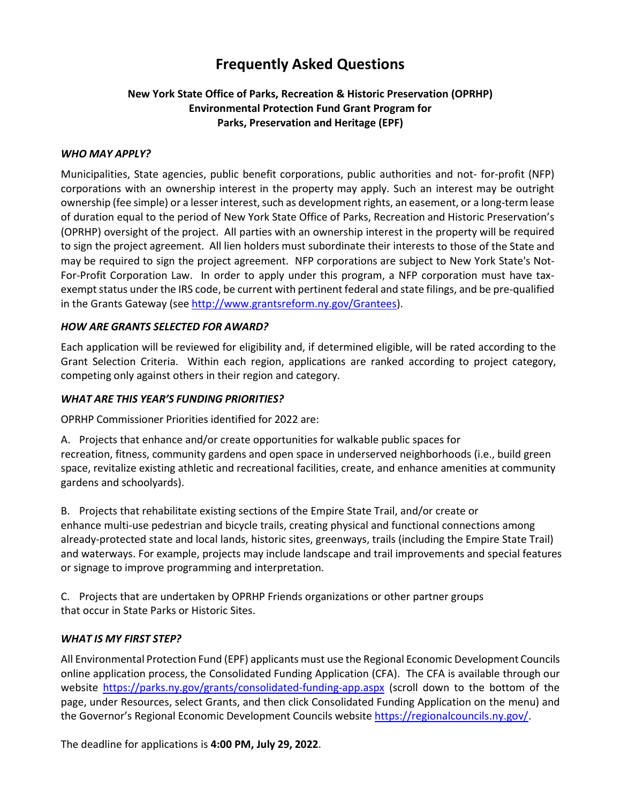# **Frequently Asked Questions**

### **New York State Office of Parks, Recreation & Historic Preservation (OPRHP) Environmental Protection Fund Grant Program for Parks, Preservation and Heritage (EPF)**

#### *WHO MAY APPLY?*

Municipalities, State agencies, public benefit corporations, public authorities and not- for-profit (NFP) corporations with an ownership interest in the property may apply. Such an interest may be outright ownership (fee simple) or a lesser interest, such as development rights, an easement, or a long-term lease of duration equal to the period of New York State Office of Parks, Recreation and Historic Preservation's (OPRHP) oversight of the project. All parties with an ownership interest in the property will be required to sign the project agreement. All lien holders must subordinate their interests to those of the State and may be required to sign the project agreement. NFP corporations are subject to New York State's Not-For-Profit Corporation Law. In order to apply under this program, a NFP corporation must have taxexempt status under the IRS code, be current with pertinent federal and state filings, and be pre-qualified in the Grants Gateway (see [http://www.grantsreform.ny.gov/Grantees\)](http://www.grantsreform.ny.gov/Grantees).

#### *HOW ARE GRANTS SELECTED FOR AWARD?*

Each application will be reviewed for eligibility and, if determined eligible, will be rated according to the Grant Selection Criteria. Within each region, applications are ranked according to project category, competing only against others in their region and category.

#### *WHAT ARE THIS YEAR'S FUNDING PRIORITIES?*

OPRHP Commissioner Priorities identified for 2022 are:

A. Projects that enhance and/or create opportunities for walkable public spaces for recreation, fitness, community gardens and open space in underserved neighborhoods (i.e., build green space, revitalize existing athletic and recreational facilities, create, and enhance amenities at community gardens and schoolyards).

B. Projects that rehabilitate existing sections of the Empire State Trail, and/or create or enhance multi-use pedestrian and bicycle trails, creating physical and functional connections among already-protected state and local lands, historic sites, greenways, trails (including the Empire State Trail) and waterways. For example, projects may include landscape and trail improvements and special features or signage to improve programming and interpretation.

C. Projects that are undertaken by OPRHP Friends organizations or other partner groups that occur in State Parks or Historic Sites.

### *WHAT IS MY FIRST STEP?*

All Environmental Protection Fund (EPF) applicants must use the Regional Economic Development Councils online application process, the Consolidated Funding Application (CFA). The CFA is available through our website<https://parks.ny.gov/grants/consolidated-funding-app.aspx> (scroll down to the bottom of the page, under Resources, select Grants, and then click Consolidated Funding Application on the menu) and the Governor's Regional Economic Development Councils website [https://regionalcouncils.ny.gov/.](https://regionalcouncils.ny.gov/)

The deadline for applications is **4:00 PM, July 29, 2022**.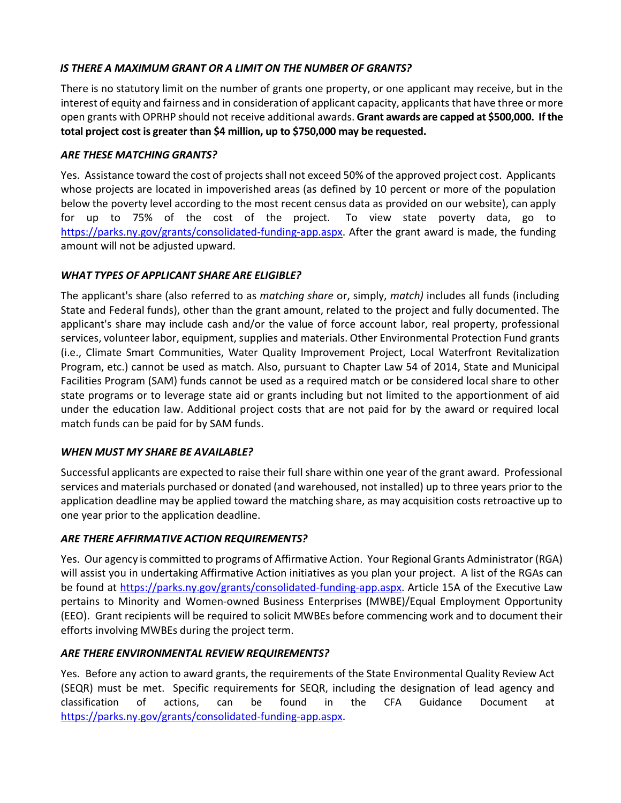### *IS THERE A MAXIMUM GRANT OR A LIMIT ON THE NUMBER OF GRANTS?*

There is no statutory limit on the number of grants one property, or one applicant may receive, but in the interest of equity and fairness and in consideration of applicant capacity, applicants that have three or more open grants with OPRHP should not receive additional awards. **Grant awards are capped at \$500,000. If the total project cost is greater than \$4 million, up to \$750,000 may be requested.**

### *ARE THESE MATCHING GRANTS?*

Yes. Assistance toward the cost of projects shall not exceed 50% of the approved project cost. Applicants whose projects are located in impoverished areas (as defined by 10 percent or more of the population below the poverty level according to the most recent census data as provided on our website), can apply for up to 75% of the cost of the project. To view state poverty data, go to [https://parks.ny.gov/grants/consolidated-funding-app.aspx.](https://parks.ny.gov/grants/consolidated-funding-app.aspx) After the grant award is made, the funding amount will not be adjusted upward.

# *WHAT TYPES OF APPLICANT SHARE ARE ELIGIBLE?*

The applicant's share (also referred to as *matching share* or, simply, *match)* includes all funds (including State and Federal funds), other than the grant amount, related to the project and fully documented. The applicant's share may include cash and/or the value of force account labor, real property, professional services, volunteer labor, equipment, supplies and materials. Other Environmental Protection Fund grants (i.e., Climate Smart Communities, Water Quality Improvement Project, Local Waterfront Revitalization Program, etc.) cannot be used as match. Also, pursuant to Chapter Law 54 of 2014, State and Municipal Facilities Program (SAM) funds cannot be used as a required match or be considered local share to other state programs or to leverage state aid or grants including but not limited to the apportionment of aid under the education law. Additional project costs that are not paid for by the award or required local match funds can be paid for by SAM funds.

# *WHEN MUST MY SHARE BE AVAILABLE?*

Successful applicants are expected to raise their full share within one year of the grant award. Professional services and materials purchased or donated (and warehoused, not installed) up to three years prior to the application deadline may be applied toward the matching share, as may acquisition costs retroactive up to one year prior to the application deadline.

# *ARE THERE AFFIRMATIVE ACTION REQUIREMENTS?*

Yes. Our agency is committed to programs of Affirmative Action. Your Regional Grants Administrator (RGA) will assist you in undertaking Affirmative Action initiatives as you plan your project. A list of the RGAs can be found at [https://parks.ny.gov/grants/consolidated-funding-app.aspx.](https://parks.ny.gov/grants/consolidated-funding-app.aspx) Article 15A of the Executive Law pertains to Minority and Women-owned Business Enterprises (MWBE)/Equal Employment Opportunity (EEO). Grant recipients will be required to solicit MWBEs before commencing work and to document their efforts involving MWBEs during the project term.

# *ARE THERE ENVIRONMENTAL REVIEW REQUIREMENTS?*

Yes. Before any action to award grants, the requirements of the State Environmental Quality Review Act (SEQR) must be met. Specific requirements for SEQR, including the designation of lead agency and classification of actions, can be found in the CFA Guidance Document at [https://parks.ny.gov/grants/consolidated-funding-app.aspx.](https://parks.ny.gov/grants/consolidated-funding-app.aspx)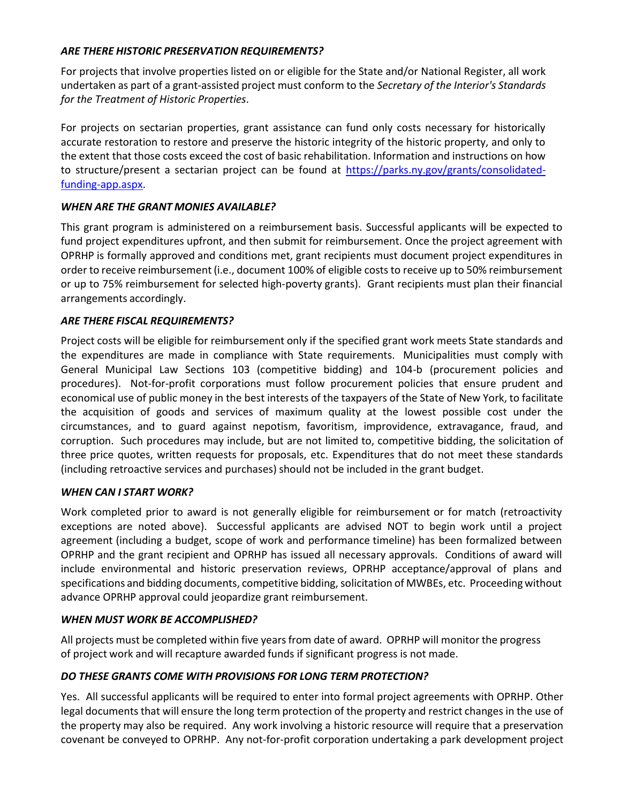### *ARE THERE HISTORIC PRESERVATION REQUIREMENTS?*

For projects that involve properties listed on or eligible for the State and/or National Register, all work undertaken as part of a grant-assisted project must conform to the *Secretary of the Interior's Standards for the Treatment of Historic Properties*.

For projects on sectarian properties, grant assistance can fund only costs necessary for historically accurate restoration to restore and preserve the historic integrity of the historic property, and only to the extent that those costs exceed the cost of basic rehabilitation. Information and instructions on how to structure/present a sectarian project can be found at [https://parks.ny.gov/grants/consolidated](https://parks.ny.gov/grants/consolidated-funding-app.aspx)[funding-app.aspx.](https://parks.ny.gov/grants/consolidated-funding-app.aspx)

### *WHEN ARE THE GRANT MONIES AVAILABLE?*

This grant program is administered on a reimbursement basis. Successful applicants will be expected to fund project expenditures upfront, and then submit for reimbursement. Once the project agreement with OPRHP is formally approved and conditions met, grant recipients must document project expenditures in order to receive reimbursement (i.e., document 100% of eligible coststo receive up to 50% reimbursement or up to 75% reimbursement for selected high-poverty grants). Grant recipients must plan their financial arrangements accordingly.

#### *ARE THERE FISCAL REQUIREMENTS?*

Project costs will be eligible for reimbursement only if the specified grant work meets State standards and the expenditures are made in compliance with State requirements. Municipalities must comply with General Municipal Law Sections 103 (competitive bidding) and 104-b (procurement policies and procedures). Not-for-profit corporations must follow procurement policies that ensure prudent and economical use of public money in the best interests of the taxpayers of the State of New York, to facilitate the acquisition of goods and services of maximum quality at the lowest possible cost under the circumstances, and to guard against nepotism, favoritism, improvidence, extravagance, fraud, and corruption. Such procedures may include, but are not limited to, competitive bidding, the solicitation of three price quotes, written requests for proposals, etc. Expenditures that do not meet these standards (including retroactive services and purchases) should not be included in the grant budget.

#### *WHEN CAN I START WORK?*

Work completed prior to award is not generally eligible for reimbursement or for match (retroactivity exceptions are noted above). Successful applicants are advised NOT to begin work until a project agreement (including a budget, scope of work and performance timeline) has been formalized between OPRHP and the grant recipient and OPRHP has issued all necessary approvals. Conditions of award will include environmental and historic preservation reviews, OPRHP acceptance/approval of plans and specifications and bidding documents, competitive bidding, solicitation of MWBEs, etc. Proceeding without advance OPRHP approval could jeopardize grant reimbursement.

#### *WHEN MUST WORK BE ACCOMPLISHED?*

All projects must be completed within five years from date of award. OPRHP will monitor the progress of project work and will recapture awarded funds if significant progress is not made.

### *DO THESE GRANTS COME WITH PROVISIONS FOR LONG TERM PROTECTION?*

Yes. All successful applicants will be required to enter into formal project agreements with OPRHP. Other legal documents that will ensure the long term protection of the property and restrict changes in the use of the property may also be required. Any work involving a historic resource will require that a preservation covenant be conveyed to OPRHP. Any not-for-profit corporation undertaking a park development project